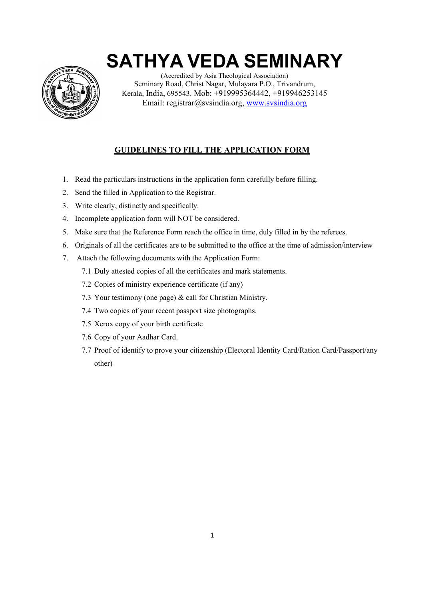

(Accredited by Asia Theological Association) Seminary Road, Christ Nagar, Mulayara P.O., Trivandrum, Kerala, India, 695543. Mob: +919995364442, +919946253145 Email: registrar@svsindia.org, www.svsindia.org

### **GUIDELINES TO FILL THE APPLICATION FORM**

- 1. Read the particulars instructions in the application form carefully before filling.
- 2. Send the filled in Application to the Registrar.
- 3. Write clearly, distinctly and specifically.
- 4. Incomplete application form will NOT be considered.
- 5. Make sure that the Reference Form reach the office in time, duly filled in by the referees.
- 6. Originals of all the certificates are to be submitted to the office at the time of admission/interview
- 7. Attach the following documents with the Application Form:
	- 7.1 Duly attested copies of all the certificates and mark statements.
	- 7.2 Copies of ministry experience certificate (if any)
	- 7.3 Your testimony (one page) & call for Christian Ministry.
	- 7.4 Two copies of your recent passport size photographs.
	- 7.5 Xerox copy of your birth certificate
	- 7.6 Copy of your Aadhar Card.
	- 7.7 Proof of identify to prove your citizenship (Electoral Identity Card/Ration Card/Passport/any other)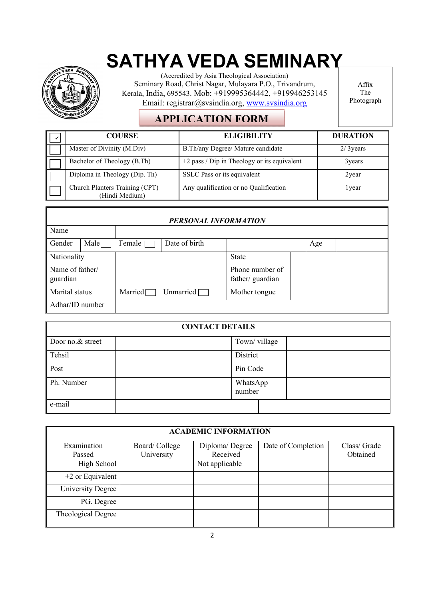

(Accredited by Asia Theological Association) Seminary Road, Christ Nagar, Mulayara P.O., Trivandrum, Kerala, India, 695543. Mob: +919995364442, +919946253145 Email: registrar@svsindia.org, www.svsindia.org

Affix The Photograph

## **APPLICATION FORM**

| <b>COURSE</b>                                    | <b>ELIGIBILITY</b>                            | <b>DURATION</b> |
|--------------------------------------------------|-----------------------------------------------|-----------------|
| Master of Divinity (M.Div)                       | B.Th/any Degree/ Mature candidate             | $2/3$ years     |
| Bachelor of Theology (B.Th)                      | $+2$ pass / Dip in Theology or its equivalent | 3 years         |
| Diploma in Theology (Dip. Th)                    | SSLC Pass or its equivalent                   | 2year           |
| Church Planters Training (CPT)<br>(Hindi Medium) | Any qualification or no Qualification         | l year          |

| PERSONAL INFORMATION        |                   |         |                  |                                     |  |     |  |
|-----------------------------|-------------------|---------|------------------|-------------------------------------|--|-----|--|
| Name                        |                   |         |                  |                                     |  |     |  |
| Gender                      | Male <sub>l</sub> | Female  | Date of birth    |                                     |  | Age |  |
| Nationality                 |                   |         |                  | <b>State</b>                        |  |     |  |
| Name of father/<br>guardian |                   |         |                  | Phone number of<br>father/ guardian |  |     |  |
| Marital status              |                   | Married | Unmarried $\Box$ | Mother tongue                       |  |     |  |
| Adhar/ID number             |                   |         |                  |                                     |  |     |  |

| <b>CONTACT DETAILS</b> |  |                    |  |  |
|------------------------|--|--------------------|--|--|
| Door no.& street       |  | Town/village       |  |  |
| Tehsil                 |  | District           |  |  |
| Post                   |  | Pin Code           |  |  |
| Ph. Number             |  | WhatsApp<br>number |  |  |
| e-mail                 |  |                    |  |  |

| <b>ACADEMIC INFORMATION</b> |               |                |                    |             |  |
|-----------------------------|---------------|----------------|--------------------|-------------|--|
| Examination                 | Board/College | Diploma/Degree | Date of Completion | Class/Grade |  |
| Passed                      | University    | Received       |                    | Obtained    |  |
| High School                 |               | Not applicable |                    |             |  |
| $+2$ or Equivalent          |               |                |                    |             |  |
| University Degree           |               |                |                    |             |  |
| PG. Degree                  |               |                |                    |             |  |
| Theological Degree          |               |                |                    |             |  |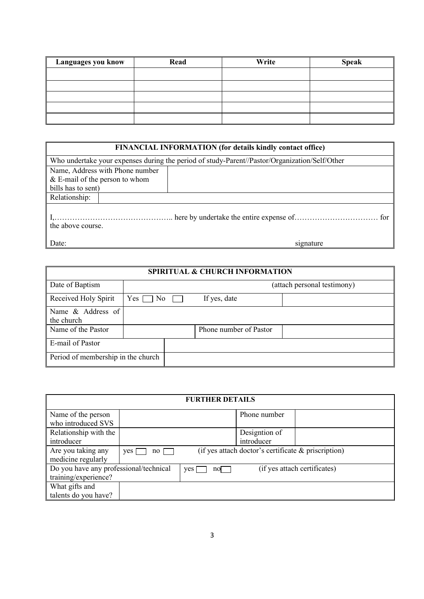| Languages you know | Read | Write | <b>Speak</b> |
|--------------------|------|-------|--------------|
|                    |      |       |              |
|                    |      |       |              |
|                    |      |       |              |
|                    |      |       |              |
|                    |      |       |              |

| FINANCIAL INFORMATION (for details kindly contact office) |                                                                                               |  |  |  |
|-----------------------------------------------------------|-----------------------------------------------------------------------------------------------|--|--|--|
|                                                           | Who undertake your expenses during the period of study-Parent//Pastor/Organization/Self/Other |  |  |  |
| Name, Address with Phone number                           |                                                                                               |  |  |  |
| & E-mail of the person to whom                            |                                                                                               |  |  |  |
| bills has to sent)                                        |                                                                                               |  |  |  |
| Relationship:                                             |                                                                                               |  |  |  |
| the above course.                                         |                                                                                               |  |  |  |
| Date:                                                     | signature                                                                                     |  |  |  |

## **SPIRITUAL & CHURCH INFORMATION**

| <b>SPIRITUAL &amp; CHURCH INFORMATION</b> |                                    |  |                        |                             |  |
|-------------------------------------------|------------------------------------|--|------------------------|-----------------------------|--|
| Date of Baptism                           |                                    |  |                        | (attach personal testimony) |  |
| Received Holy Spirit                      | $Yes \Box No \Box$                 |  | If yes, date           |                             |  |
| Name & Address of                         |                                    |  |                        |                             |  |
| the church                                |                                    |  |                        |                             |  |
| Name of the Pastor                        |                                    |  | Phone number of Pastor |                             |  |
| E-mail of Pastor                          |                                    |  |                        |                             |  |
|                                           | Period of membership in the church |  |                        |                             |  |

| <b>FURTHER DETAILS</b>                 |             |            |                                                     |                              |  |
|----------------------------------------|-------------|------------|-----------------------------------------------------|------------------------------|--|
| Name of the person                     |             |            | Phone number                                        |                              |  |
| who introduced SVS                     |             |            |                                                     |                              |  |
| Relationship with the                  |             |            | Designtion of                                       |                              |  |
| introducer                             |             |            | introducer                                          |                              |  |
| Are you taking any                     | yes  <br>no |            | (if yes attach doctor's certificate & priscription) |                              |  |
| medicine regularly                     |             |            |                                                     |                              |  |
| Do you have any professional/technical |             | yes<br>nol |                                                     | (if yes attach certificates) |  |
| training/experience?                   |             |            |                                                     |                              |  |
| What gifts and                         |             |            |                                                     |                              |  |
| talents do you have?                   |             |            |                                                     |                              |  |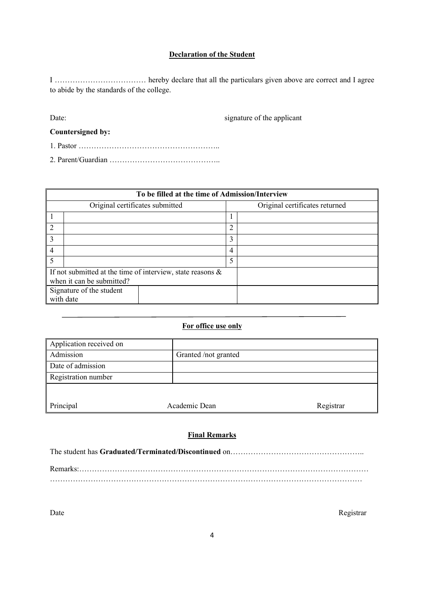#### **Declaration of the Student**

I ……………………………… hereby declare that all the particulars given above are correct and I agree to abide by the standards of the college.

Date: signature of the applicant

**Countersigned by:**

- 1. Pastor ………………………………………………..
- 2. Parent/Guardian ……………………………………..

|                           | To be filled at the time of Admission/Interview               |   |                                |  |  |  |
|---------------------------|---------------------------------------------------------------|---|--------------------------------|--|--|--|
|                           | Original certificates submitted                               |   | Original certificates returned |  |  |  |
|                           |                                                               |   |                                |  |  |  |
| $\overline{2}$            |                                                               | ∍ |                                |  |  |  |
| 3                         |                                                               | 3 |                                |  |  |  |
| $\overline{4}$            |                                                               | 4 |                                |  |  |  |
|                           |                                                               | 5 |                                |  |  |  |
|                           | If not submitted at the time of interview, state reasons $\&$ |   |                                |  |  |  |
| when it can be submitted? |                                                               |   |                                |  |  |  |
|                           | Signature of the student                                      |   |                                |  |  |  |
| with date                 |                                                               |   |                                |  |  |  |

#### **For office use only**

| Application received on |                      |           |
|-------------------------|----------------------|-----------|
| Admission               | Granted /not granted |           |
| Date of admission       |                      |           |
| Registration number     |                      |           |
|                         |                      |           |
| Principal               | Academic Dean        | Registrar |

#### **Final Remarks**

The student has **Graduated/Terminated/Discontinued** on……………………………………………..

Remarks:…………………………………………………………………………………………………… ……………………………………………………………………………………………………………

Date Registrar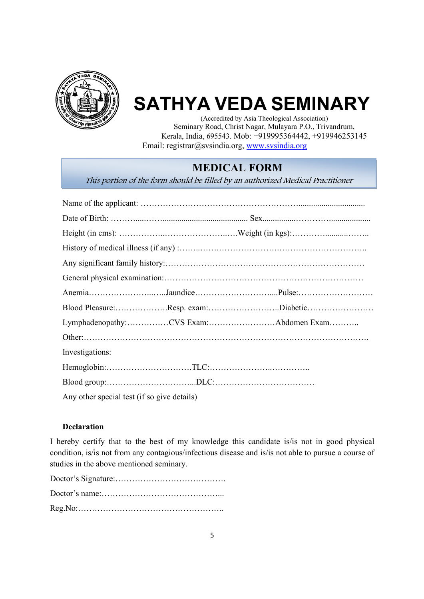

(Accredited by Asia Theological Association) Seminary Road, Christ Nagar, Mulayara P.O., Trivandrum, Kerala, India, 695543. Mob: +919995364442, +919946253145 Email: registrar@svsindia.org, www.svsindia.org

### **MEDICAL FORM**

This portion of the form should be filled by an authorized Medical Practitioner

| Blood Pleasure:Resp. exam:Diabetic          |  |
|---------------------------------------------|--|
| Lymphadenopathy:CVS Exam:Abdomen Exam       |  |
|                                             |  |
| Investigations:                             |  |
|                                             |  |
|                                             |  |
| Any other special test (if so give details) |  |

#### **Declaration**

I hereby certify that to the best of my knowledge this candidate is/is not in good physical condition, is/is not from any contagious/infectious disease and is/is not able to pursue a course of studies in the above mentioned seminary.

Doctor's Signature:…………………………………. Doctor's name:……………………………………... Reg.No:……………………………………………..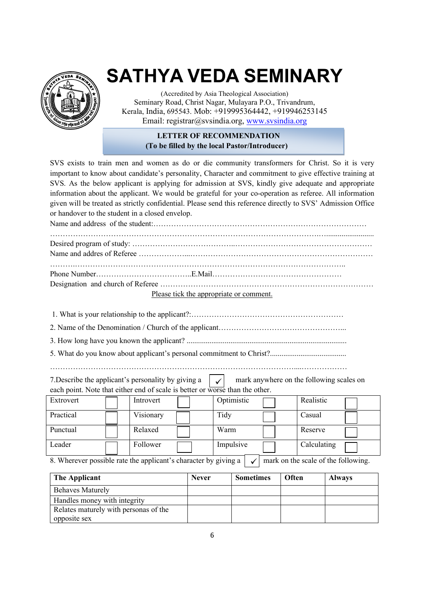

(Accredited by Asia Theological Association) Seminary Road, Christ Nagar, Mulayara P.O., Trivandrum, Kerala, India, 695543. Mob: +919995364442, +919946253145 Email: registrar@svsindia.org, www.svsindia.org

#### **LETTER OF RECOMMENDATION (To be filled by the local Pastor/Introducer)**

SVS exists to train men and women as do or die community transformers for Christ. So it is very important to know about candidate's personality, Character and commitment to give effective training at SVS. As the below applicant is applying for admission at SVS, kindly give adequate and appropriate information about the applicant. We would be grateful for your co-operation as referee. All information given will be treated as strictly confidential. Please send this reference directly to SVS' Admission Office or handover to the student in a closed envelop.

Name and address of the student:………………………………………………………………………… …………………………………………………………………………………………….…......................... Desired program of study: …………………………………..……………………………………………… Name and addres of Referee ………………...……………………………………………………………… ……….…………………………………………………………………………………………….. Phone Number………………………………..E.Mail…………………………………………… Designation and church of Referee …………………………………………………………………………

Please tick the appropriate or comment.

1. What is your relationship to the applicant?:……………………………………………………

2. Name of the Denomination / Church of the applicant…………………………………………...

3. How long have you known the applicant? ....................................................................................

5. What do you know about applicant's personal commitment to Christ?........................................

……………………………………………………………………………………....………………

| 7. Describe the applicant's personality by giving a $\vert \checkmark \vert$ mark anywhere on the following scales on |  |
|-----------------------------------------------------------------------------------------------------------------------|--|
| each point. Note that either end of scale is better or worse than the other.                                          |  |

| Extrovert | Introvert | Optimistic | Realistic   |  |
|-----------|-----------|------------|-------------|--|
| Practical | Visionary | Tidy       | Casual      |  |
| Punctual  | Relaxed   | Warm       | Reserve     |  |
| Leader    | Follower  | Impulsive  | Calculating |  |

8. Wherever possible rate the applicant's character by giving a  $\vert \sqrt{\vert}$  mark on the scale of the following.  $\checkmark$ 

| The Applicant                         | <b>Never</b> | <b>Sometimes</b> | <b>Often</b> | <b>Always</b> |
|---------------------------------------|--------------|------------------|--------------|---------------|
| <b>Behaves Maturely</b>               |              |                  |              |               |
| Handles money with integrity          |              |                  |              |               |
| Relates maturely with personas of the |              |                  |              |               |
| opposite sex                          |              |                  |              |               |